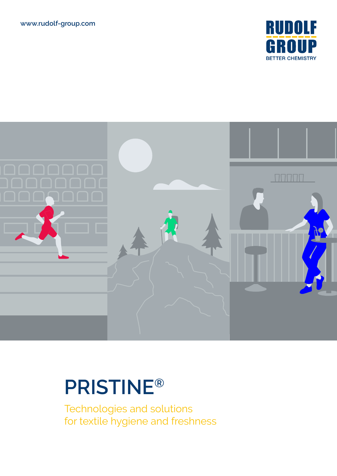



# **PRISTINE®**

Technologies and solutions for textile hygiene and freshness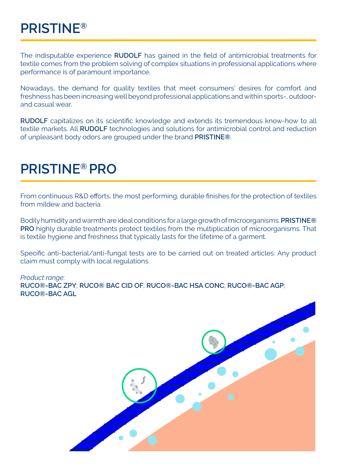The indisputable experience **RUDOLF** has gained in the field of antimicrobial treatments for textile comes from the problem solving of complex situations in professional applications where performance is of paramount importance.

Nowadays, the demand for quality textiles that meet consumers' desires for comfort and freshness has been increasing well beyond professional applications and within sports-, outdoorand casual wear.

**RUDOLF** capitalizes on its scientific knowledge and extends its tremendous know-how to all textile markets. All **RUDOLF** technologies and solutions for antimicrobial control and reduction of unpleasant body odors are grouped under the brand **PRISTINE®**.

#### **PRISTINE® PRO**

From continuous R&D efforts, the most performing, durable finishes for the protection of textiles from mildew and bacteria.

Bodily humidity and warmth are ideal conditions for a large growth of microorganisms. **PRISTINE® PRO** highly durable treatments protect textiles from the multiplication of microorganisms. That is textile hygiene and freshness that typically lasts for the lifetime of a garment.

Specific anti-bacterial/anti-fungal tests are to be carried out on treated articles. Any product claim must comply with local regulations.

*Product range*: **RUCO®-BAC ZPY**; **RUCO® BAC CID OF**; **RUCO®-BAC HSA CONC**; **RUCO®-BAC AGP**; **RUCO®-BAC AGL**

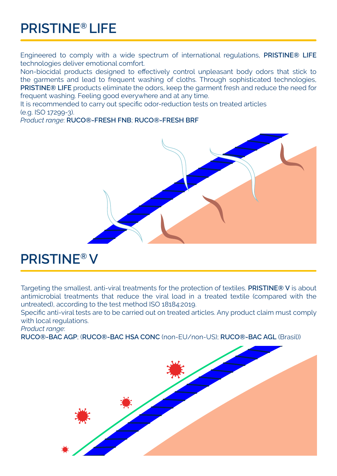# **PRISTINE® LIFE**

Engineered to comply with a wide spectrum of international regulations, **PRISTINE® LIFE** technologies deliver emotional comfort.

Non-biocidal products designed to effectively control unpleasant body odors that stick to the garments and lead to frequent washing of cloths. Through sophisticated technologies, **PRISTINE® LIFE** products eliminate the odors, keep the garment fresh and reduce the need for frequent washing. Feeling good everywhere and at any time.

It is recommended to carry out specific odor-reduction tests on treated articles (e.g. ISO 17299-3).

*Product range*: **RUCO®-FRESH FNB**; **RUCO®-FRESH BRF**



## **PRISTINE® V**

Targeting the smallest, anti-viral treatments for the protection of textiles. **PRISTINE® V** is about antimicrobial treatments that reduce the viral load in a treated textile (compared with the untreated), according to the test method ISO 18184:2019.

Specific anti-viral tests are to be carried out on treated articles. Any product claim must comply with local regulations.

*Product range*:

**RUCO®-BAC AGP**; (**RUCO®-BAC HSA CONC** (non-EU/non-US); **RUCO®-BAC AGL** (Brasil))